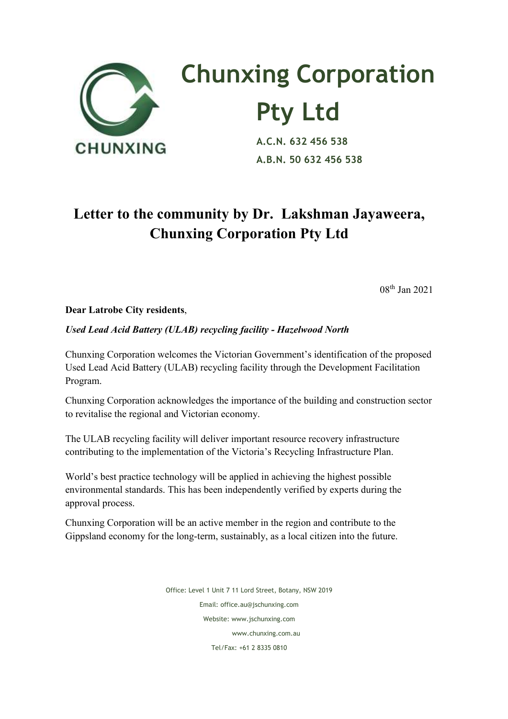

## **Chunxing Corporation Pty Ltd**<br>A.C.N. 632 456 538

 **A.B.N. 50 632 456 538**

## **Letter to the community by Dr. Lakshman Jayaweera, Chunxing Corporation Pty Ltd**

08th Jan 2021

## **Dear Latrobe City residents**,

## *Used Lead Acid Battery (ULAB) recycling facility - Hazelwood North*

Chunxing Corporation welcomes the Victorian Government's identification of the proposed Used Lead Acid Battery (ULAB) recycling facility through the Development Facilitation Program.

Chunxing Corporation acknowledges the importance of the building and construction sector to revitalise the regional and Victorian economy.

The ULAB recycling facility will deliver important resource recovery infrastructure contributing to the implementation of the Victoria's Recycling Infrastructure Plan.

World's best practice technology will be applied in achieving the highest possible environmental standards. This has been independently verified by experts during the approval process.

Chunxing Corporation will be an active member in the region and contribute to the Gippsland economy for the long-term, sustainably, as a local citizen into the future.

> Office: Level 1 Unit 7 11 Lord Street, Botany, NSW 2019 Email: office.au@jschunxing.com Website: www.jschunxing.com www.chunxing.com.au Tel/Fax: +61 2 8335 0810